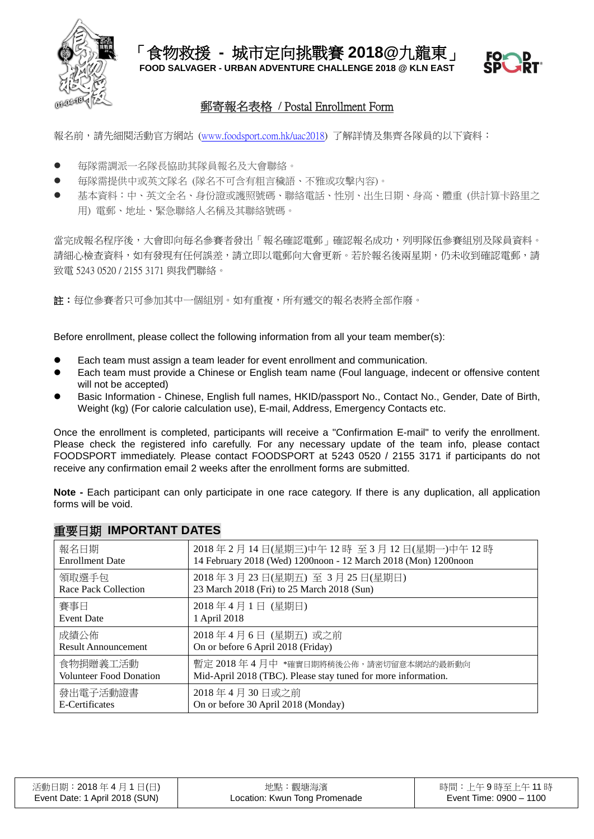

# 郵寄報名表格 **/** Postal Enrollment Form

報名前,請先細閱活動官方網站 [\(www.foodsport.com.hk/uac2018\)](http://www.foodsport.com.hk/uac2018) 了解詳情及集齊各隊員的以下資料:

- 毎隊需調派一名隊長協助其隊員報名及大會聯絡。
- 毎隊需提供中或英文隊名 (隊名不可含有粗言穢語、不雅或攻擊內容)。
- 基本資料:中、英文全名、身份證或護照號碼、聯絡電話、性別、出生日期、身高、體重 (供計算卡路里之 用) 電郵、地址、緊急聯絡人名稱及其聯絡號碼。

當完成報名程序後,大會即向毎名參賽者發出「報名確認電郵」確認報名成功,列明隊伍參賽組別及隊員資料。 請細心檢查資料,如有發現有任何誤差,請立即以電郵向大會更新。若於報名後兩星期,仍未收到確認電郵,請 致電 5243 0520 / 2155 3171 與我們聯絡。

註:每位參賽者只可參加其中一個組別。如有重複,所有遞交的報名表將全部作廢。

Before enrollment, please collect the following information from all your team member(s):

- Each team must assign a team leader for event enrollment and communication.
- Each team must provide a Chinese or English team name (Foul language, indecent or offensive content will not be accepted)
- Basic Information Chinese, English full names, HKID/passport No., Contact No., Gender, Date of Birth, Weight (kg) (For calorie calculation use), E-mail, Address, Emergency Contacts etc.

Once the enrollment is completed, participants will receive a "Confirmation E-mail" to verify the enrollment. Please check the registered info carefully. For any necessary update of the team info, please contact FOODSPORT immediately. Please contact FOODSPORT at 5243 0520 / 2155 3171 if participants do not receive any confirmation email 2 weeks after the enrollment forms are submitted.

**Note -** Each participant can only participate in one race category. If there is any duplication, all application forms will be void.

| 報名日期                        | 2018年2月14日(星期三)中午12時至3月12日(星期一)中午12時                           |
|-----------------------------|----------------------------------------------------------------|
| <b>Enrollment Date</b>      | 14 February 2018 (Wed) 1200noon - 12 March 2018 (Mon) 1200noon |
| 領取選手包                       | 2018年3月23日(星期五)至3月25日(星期日)                                     |
| <b>Race Pack Collection</b> | 23 March 2018 (Fri) to 25 March 2018 (Sun)                     |
| 賽事日                         | 2018年4月1日 (星期日)                                                |
| <b>Event Date</b>           | 1 April 2018                                                   |
| 成績公佈                        | 2018年4月6日 (星期五) 或之前                                            |
| <b>Result Announcement</b>  | On or before 6 April 2018 (Friday)                             |
| 食物捐贈義工活動                    | 暫定 2018年4月中 *確實日期將稍後公佈,請密切留意本網站的最新動向                           |
| Volunteer Food Donation     | Mid-April 2018 (TBC). Please stay tuned for more information.  |
| 發出電子活動證書                    | 2018年4月30日或之前                                                  |
| E-Certificates              | On or before 30 April 2018 (Monday)                            |

## 重要日期 **IMPORTANT DATES**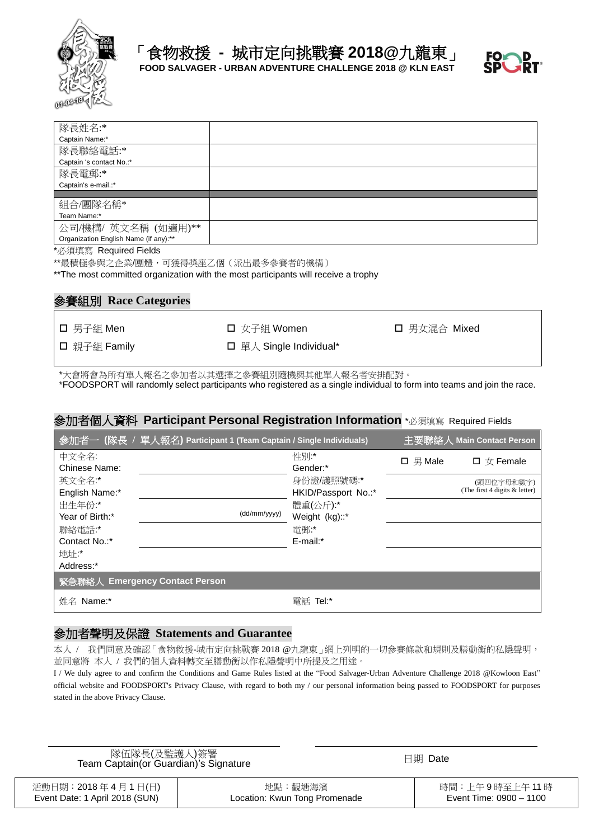



| 隊長姓名:*                                |  |
|---------------------------------------|--|
| Captain Name:*                        |  |
| 隊長聯絡電話:*                              |  |
| Captain 's contact No.:*              |  |
| 隊長電郵:*                                |  |
| Captain's e-mail.:*                   |  |
|                                       |  |
| 組合/團隊名稱*                              |  |
| Team Name:*                           |  |
| 公司/機構/ 英文名稱 (如適用)**                   |  |
| Organization English Name (if any):** |  |
|                                       |  |

\*必須填寫 Required Fields

\*\*最積極參與之企業/團體,可獲得獎座乙個(派出最多參賽者的機構)

\*\*The most committed organization with the most participants will receive a trophy

# 參賽組別 **Race Categories**

□ 親子組 Family <br>□ 單人 Single Individual\*

□ 男子組 Men コンコンコンコンライン コンタイム マイクロ 国 男女混合 Mixed

\*大會將會為所有單人報名之參加者以其選擇之參賽組別隨機與其他單人報名者安排配對。 \*FOODSPORT will randomly select participants who registered as a single individual to form into teams and join the race.

#### 參加者個人資料 **Participant Personal Registration Information** \*必須填寫 Required Fields

|                           | 参加者一 (隊長 / 單人報名) Participant 1 (Team Captain / Single Individuals) |                                   |               | 主要聯絡人 Main Contact Person                   |
|---------------------------|--------------------------------------------------------------------|-----------------------------------|---------------|---------------------------------------------|
| 中文全名:<br>Chinese Name:    |                                                                    | 性別:*<br>Gender:*                  | $\Box$ 男 Male | $\Box \nexists x$ Female                    |
| 英文全名:*<br>English Name:*  |                                                                    | 身份證/護照號碼:*<br>HKID/Passport No.:* |               | (頭四位字母和數字)<br>(The first 4 digits & letter) |
| 出生年份:*<br>Year of Birth:* | (dd/mm/yyyy)                                                       | 體重(公斤):*<br>Weight (kg)::*        |               |                                             |
| 聯絡電話:*<br>Contact No.:*   |                                                                    | 電郵:<br>E-mail:*                   |               |                                             |
| 地址:*<br>Address:*         |                                                                    |                                   |               |                                             |
|                           | 緊急聯絡人 Emergency Contact Person                                     |                                   |               |                                             |
| 姓名 Name:*                 |                                                                    | 雷話 Tel:*                          |               |                                             |

#### 參加者聲明及保證 **Statements and Guarantee**

本人 / 我們同意及確認「食物救援-城市定向挑戰賽 2018 @九龍東」網上列明的一切參賽條款和規則及膳動衡的私隱聲明, 並同意將 本人 / 我們的個人資料轉交至膳動衡以作私隱聲明中所提及之用途。

I / We duly agree to and confirm the Conditions and Game Rules listed at the "Food Salvager-Urban Adventure Challenge 2018 @Kowloon East" official website and FOODSPORT's Privacy Clause, with regard to both my / our personal information being passed to FOODSPORT for purposes stated in the above Privacy Clause.

| 隊伍隊長(及監護人)簽署<br>Team Captain (or Guardian)'s Signature | 日期 Date |
|--------------------------------------------------------|---------|
|                                                        |         |

| 活動日期:2018 年 4 月 1 日(日)         | 地點:觀塘海濱                       | 時間:上午9時至上午 11 時         |
|--------------------------------|-------------------------------|-------------------------|
| Event Date: 1 April 2018 (SUN) | Location: Kwun Tong Promenade | Event Time: 0900 - 1100 |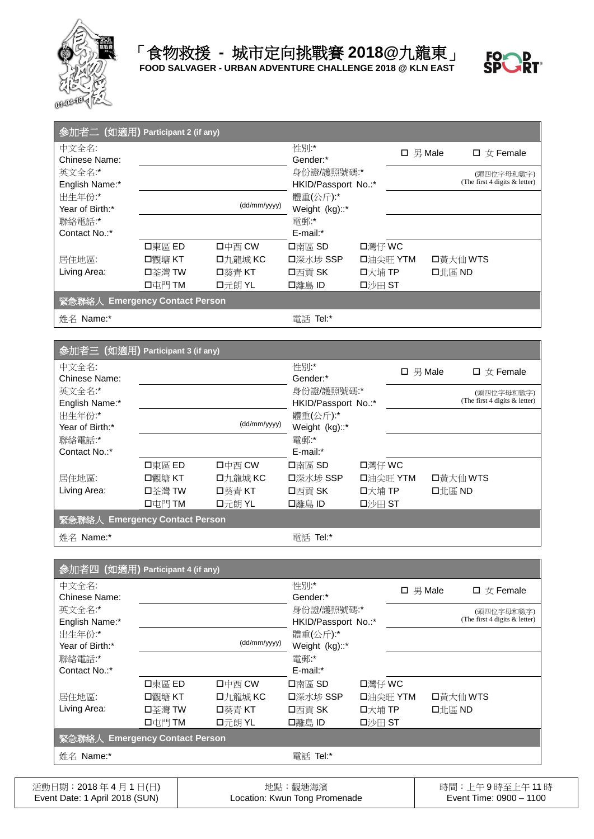



| 参加者二 (如適用) Participant 2 (if any) |        |              |                                   |        |               |        |                                             |
|-----------------------------------|--------|--------------|-----------------------------------|--------|---------------|--------|---------------------------------------------|
| 中文全名:<br>Chinese Name:            |        |              | 性別*<br>Gender:*                   |        | $\Box$ 男 Male |        | $\Box \nexists x$ Female                    |
| 英文全名:*<br>English Name:*          |        |              | 身份證/護照號碼:*<br>HKID/Passport No.:* |        |               |        | (頭四位字母和數字)<br>(The first 4 digits & letter) |
| 出生年份:*<br>Year of Birth:*         |        | (dd/mm/yyyy) | 體重(公斤):*<br>Weight (kg)::*        |        |               |        |                                             |
| 聯絡電話:*<br>Contact No.:*           |        |              | 電郵:<br>$E$ -mail: $*$             |        |               |        |                                             |
|                                   | 口東區 ED | 口中西 CW       | 口南區 SD                            | 口灣仔 WC |               |        |                                             |
| 居住地區:                             | 口觀塘 KT | 口九龍城 KC      | 口深水埗 SSP                          |        | 口油尖旺 YTM      |        | 口黃大仙 WTS                                    |
| Living Area:                      | 口苓灣 TW | 口葵青 KT       | 口西貢 SK                            | 口大埔 TP |               | 口北區 ND |                                             |
|                                   | 口屯門 TM | 口元朗 YL       | 口離島 ID                            | 口沙田 ST |               |        |                                             |
| 緊急聯絡人 Emergency Contact Person    |        |              |                                   |        |               |        |                                             |
| 姓名 Name:*                         |        |              | Tel:*<br>電話                       |        |               |        |                                             |

| 参加者三 (如適用) Participant 3 (if any) |                            |                   |                                   |                    |               |                                             |
|-----------------------------------|----------------------------|-------------------|-----------------------------------|--------------------|---------------|---------------------------------------------|
| 中文全名:<br>Chinese Name:            |                            |                   | 性別*<br>Gender:*                   |                    | $\Box$ 男 Male | $\Box \nexists x$ Female                    |
| 英文全名:*<br>English Name:*          |                            |                   | 身份證/護照號碼:*<br>HKID/Passport No.:* |                    |               | (頭四位字母和數字)<br>(The first 4 digits & letter) |
| 出生年份:*<br>Year of Birth:*         |                            | (dd/mm/yyyy)      | 體重(公斤):*<br>Weight (kg)::*        |                    |               |                                             |
| 聯絡電話:*<br>Contact No.:*           |                            |                   | 電郵:<br>$E$ -mail: $*$             |                    |               |                                             |
| 居住地區:                             | 口東區 ED<br>□觀塘 KT           | 口中西 CW<br>口九龍城 KC | 口南區 SD<br>口深水埗 SSP                | 口灣仔 WC<br>口油尖旺 YTM |               | 口黃大仙 WTS                                    |
| Living Area:                      | 口苓灣 TW                     | 口葵青 KT            | 口西貢 SK                            | 口大埔 TP             |               | 口北區 ND                                      |
| 緊急聯絡人 Emergency Contact Person    | $\Box \Box \Box$ $\Box$ TM | 口元朗 YL            | 口離島 ID                            | 口沙田 ST             |               |                                             |
| 姓名 Name:*                         |                            |                   | 電話 Tel:*                          |                    |               |                                             |

| 参加者四 (如適用) Participant 4 (if any) |        |              |                     |        |               |        |                                 |
|-----------------------------------|--------|--------------|---------------------|--------|---------------|--------|---------------------------------|
| 中文全名:                             |        |              | 性別*                 |        | $\Box$ 男 Male |        | $\Box \nexists x$ Female        |
| Chinese Name:                     |        |              | Gender:*            |        |               |        |                                 |
| 英文全名:*                            |        |              | 身份證/護照號碼:*          |        |               |        | (頭四位字母和數字)                      |
| English Name:*                    |        |              | HKID/Passport No.:* |        |               |        | (The first 4 digits $&$ letter) |
| 出生年份:*                            |        |              | 體重(公斤):*            |        |               |        |                                 |
| Year of Birth:*                   |        | (dd/mm/yyyy) | Weight (kg)::*      |        |               |        |                                 |
| 聯絡電話:*                            |        |              | 電郵:*                |        |               |        |                                 |
| Contact No.:*                     |        |              | E-mail:*            |        |               |        |                                 |
|                                   | 口東區 ED | 口中西 CW       | 口南區 SD              | 口灣仔 WC |               |        |                                 |
| 居住地區:                             | 口觀塘 KT | 口九龍城 KC      | 口深水埗 SSP            |        | 口油尖旺 YTM      |        | 口黃大仙 WTS                        |
| Living Area:                      | 口苓灣 TW | 口葵青 KT       | 口西貢 SK              | 口大埔 TP |               | 口北區 ND |                                 |
|                                   | 口屯門 TM | 口元朗 YL       | 口離島 ID              | 口沙田 ST |               |        |                                 |
| 緊急聯絡人 Emergency Contact Person    |        |              |                     |        |               |        |                                 |
| 姓名 Name:*                         |        |              | 電話 Tel:*            |        |               |        |                                 |

| 活動日期:2018年4月1日(日)              | 地點:觀塘海濱                       | 時間:上午9時至上午 11 時         |
|--------------------------------|-------------------------------|-------------------------|
| Event Date: 1 April 2018 (SUN) | Location: Kwun Tong Promenade | Event Time: 0900 - 1100 |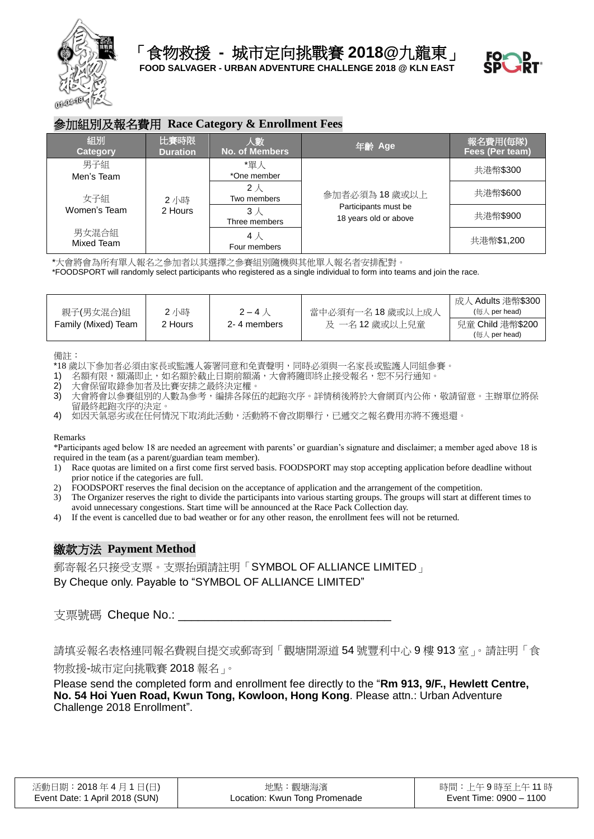



#### 參加組別及報名費用 **Race Category & Enrollment Fees**

| 組別<br><b>Category</b> | 比賽時限<br><b>Duration</b>                                                                    | 人數<br><b>No. of Members</b>                   | 年齢 Age       | 報名費用(毎隊)<br>Fees (Per team) |
|-----------------------|--------------------------------------------------------------------------------------------|-----------------------------------------------|--------------|-----------------------------|
| 男子組<br>Men's Team     | *單人<br>*One member<br>$2\lambda$<br>Two members<br>2 小時<br>2 Hours<br>3 人<br>Three members |                                               | 參加者必須為18歲或以上 | 共港幣\$300                    |
| 女子組                   |                                                                                            |                                               |              | 共港幣\$600                    |
| Women's Team          |                                                                                            | Participants must be<br>18 years old or above | 共港幣\$900     |                             |
| 男女混合組<br>Mixed Team   |                                                                                            | 4 人<br>Four members                           |              | 共港幣\$1,200                  |

\*大會將會為所有單人報名之參加者以其選擇之參賽組別隨機與其他單人報名者安排配對。

\*FOODSPORT will randomly select participants who registered as a single individual to form into teams and join the race.

| 親子(男女混合)組           | 2小時     | $2 - 4$ $\land$ | ·當中必須有一名 18 歲或以上成人 | 成人 Adults 港幣\$300<br>(毎人 per head) |
|---------------------|---------|-----------------|--------------------|------------------------------------|
| Family (Mixed) Team | 2 Hours | 2-4 members     | 及 一名 12 歲或以上兒童     | 兒童 Child 港幣\$200<br>(毎人 per head)  |

備註:

\*18 歲以下參加者必須由家長或監護人簽署同意和免責聲明,同時必須與一名家長或監護人同組參賽。<br>1) 名額有限,額滿即止,如名額於截止日期前額滿,大會將隨即終止接受報名,恕不另行涌知。

- 名額有限,額滿即止,如名額於截止日期前額滿,大會將隨即終止接受報名,恕不另行通知。
- 2) 大會保留取錄參加者及比賽安排之最終決定權。
- 3) 大會將會以參賽組別的人數為參考,編排各隊伍的起跑次序。詳情稍後將於大會網頁內公佈,敬請留意。主辦單位將保 留最終起跑次序的決定。

4) 如因天氣惡劣或在任何情況下取消此活動,活動將不會改期舉行,已遞交之報名費用亦將不獲退還。

Remarks

\*Participants aged below 18 are needed an agreement with parents' or guardian's signature and disclaimer; a member aged above 18 is required in the team (as a parent/guardian team member).

- 1) Race quotas are limited on a first come first served basis. FOODSPORT may stop accepting application before deadline without prior notice if the categories are full.
- 2) FOODSPORT reserves the final decision on the acceptance of application and the arrangement of the competition.
- 3) The Organizer reserves the right to divide the participants into various starting groups. The groups will start at different times to
- avoid unnecessary congestions. Start time will be announced at the Race Pack Collection day.
- 4) If the event is cancelled due to bad weather or for any other reason, the enrollment fees will not be returned.

## 繳款方法 **Payment Method**

郵寄報名只接受支票。支票抬頭請註明「SYMBOL OF ALLIANCE LIMITED」 By Cheque only. Payable to "SYMBOL OF ALLIANCE LIMITED"

支票號碼 Cheque No.:

請填妥報名表格連同報名費親自提交或郵寄到「觀塘開源道 54 號豐利中心 9 樓 913 室」。請註明「食 物救援-城市定向挑戰賽 2018 報名」。

Please send the completed form and enrollment fee directly to the "**Rm 913, 9/F., Hewlett Centre, No. 54 Hoi Yuen Road, Kwun Tong, Kowloon, Hong Kong**. Please attn.: Urban Adventure Challenge 2018 Enrollment".

| 活動日期:2018 年 4 月 1 日(日)         | 地點:觀塘海濱                       | 時間:上午9時至上午 11 時         |
|--------------------------------|-------------------------------|-------------------------|
| Event Date: 1 April 2018 (SUN) | Location: Kwun Tong Promenade | Event Time: 0900 - 1100 |